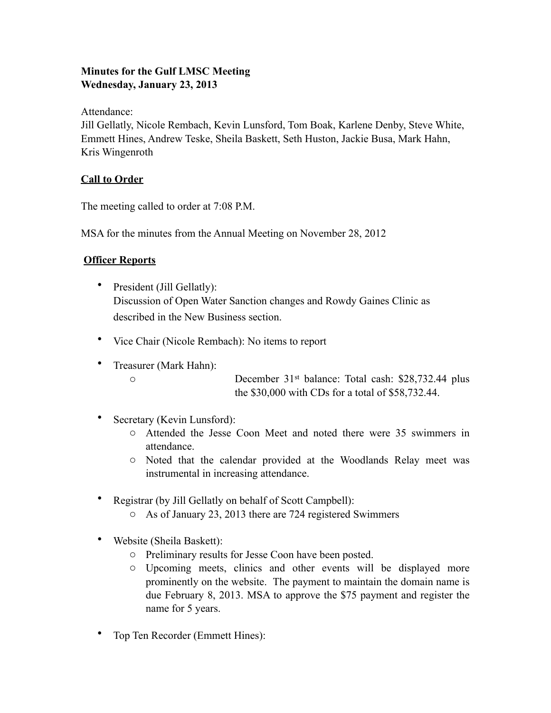# **Minutes for the Gulf LMSC Meeting Wednesday, January 23, 2013**

Attendance:

Jill Gellatly, Nicole Rembach, Kevin Lunsford, Tom Boak, Karlene Denby, Steve White, Emmett Hines, Andrew Teske, Sheila Baskett, Seth Huston, Jackie Busa, Mark Hahn, Kris Wingenroth

# **Call to Order**

The meeting called to order at 7:08 P.M.

MSA for the minutes from the Annual Meeting on November 28, 2012

# **Officer Reports**

- President (Jill Gellatly): Discussion of Open Water Sanction changes and Rowdy Gaines Clinic as described in the New Business section.
- Vice Chair (Nicole Rembach): No items to report
- Treasurer (Mark Hahn):

o December 31st balance: Total cash: \$28,732.44 plus the \$30,000 with CDs for a total of \$58,732.44.

- Secretary (Kevin Lunsford):
	- o Attended the Jesse Coon Meet and noted there were 35 swimmers in attendance.
	- o Noted that the calendar provided at the Woodlands Relay meet was instrumental in increasing attendance.
- Registrar (by Jill Gellatly on behalf of Scott Campbell):
	- o As of January 23, 2013 there are 724 registered Swimmers
- Website (Sheila Baskett):
	- o Preliminary results for Jesse Coon have been posted.
	- o Upcoming meets, clinics and other events will be displayed more prominently on the website. The payment to maintain the domain name is due February 8, 2013. MSA to approve the \$75 payment and register the name for 5 years.
- Top Ten Recorder (Emmett Hines):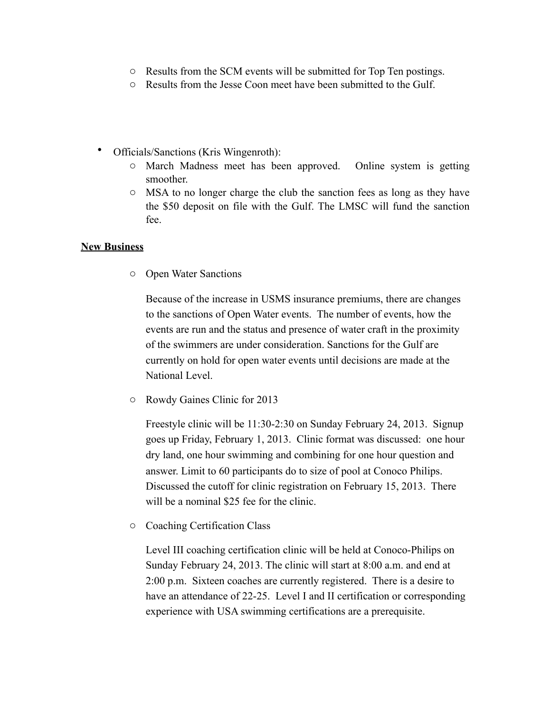- o Results from the SCM events will be submitted for Top Ten postings.
- o Results from the Jesse Coon meet have been submitted to the Gulf.
- Officials/Sanctions (Kris Wingenroth):
	- o March Madness meet has been approved. Online system is getting smoother.
	- o MSA to no longer charge the club the sanction fees as long as they have the \$50 deposit on file with the Gulf. The LMSC will fund the sanction fee.

#### **New Business**

o Open Water Sanctions

Because of the increase in USMS insurance premiums, there are changes to the sanctions of Open Water events. The number of events, how the events are run and the status and presence of water craft in the proximity of the swimmers are under consideration. Sanctions for the Gulf are currently on hold for open water events until decisions are made at the National Level.

o Rowdy Gaines Clinic for 2013

Freestyle clinic will be 11:30-2:30 on Sunday February 24, 2013. Signup goes up Friday, February 1, 2013. Clinic format was discussed: one hour dry land, one hour swimming and combining for one hour question and answer. Limit to 60 participants do to size of pool at Conoco Philips. Discussed the cutoff for clinic registration on February 15, 2013. There will be a nominal \$25 fee for the clinic.

o Coaching Certification Class

Level III coaching certification clinic will be held at Conoco-Philips on Sunday February 24, 2013. The clinic will start at 8:00 a.m. and end at 2:00 p.m. Sixteen coaches are currently registered. There is a desire to have an attendance of 22-25. Level I and II certification or corresponding experience with USA swimming certifications are a prerequisite.